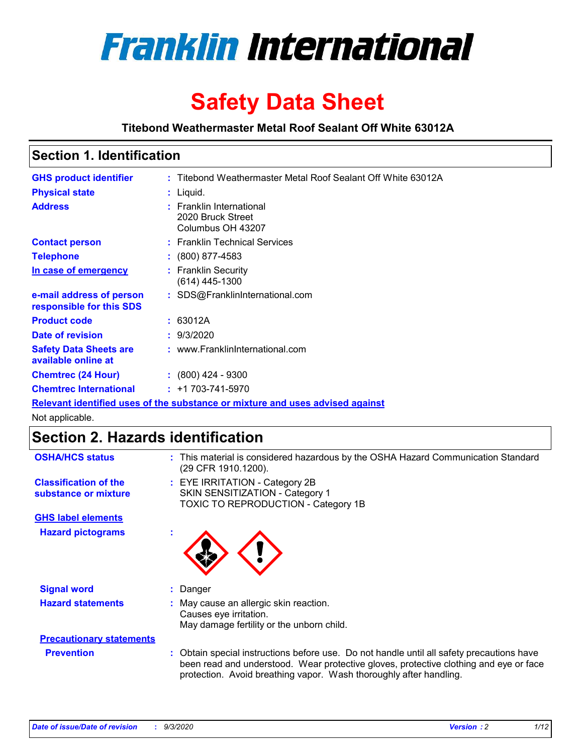

# **Safety Data Sheet**

### **Titebond Weathermaster Metal Roof Sealant Off White 63012A**

### **Section 1. Identification**

| <b>GHS product identifier</b>                                                 |  | : Titebond Weathermaster Metal Roof Sealant Off White 63012A       |
|-------------------------------------------------------------------------------|--|--------------------------------------------------------------------|
| <b>Physical state</b>                                                         |  | : Liquid.                                                          |
| <b>Address</b>                                                                |  | : Franklin International<br>2020 Bruck Street<br>Columbus OH 43207 |
| <b>Contact person</b>                                                         |  | : Franklin Technical Services                                      |
| <b>Telephone</b>                                                              |  | $\div$ (800) 877-4583                                              |
| In case of emergency                                                          |  | : Franklin Security<br>(614) 445-1300                              |
| e-mail address of person<br>responsible for this SDS                          |  | : SDS@FranklinInternational.com                                    |
| <b>Product code</b>                                                           |  | : 63012A                                                           |
| Date of revision                                                              |  | : 9/3/2020                                                         |
| <b>Safety Data Sheets are</b><br>available online at                          |  | : www.FranklinInternational.com                                    |
| <b>Chemtrec (24 Hour)</b>                                                     |  | $: (800)$ 424 - 9300                                               |
| <b>Chemtrec International</b>                                                 |  | $: +1703 - 741 - 5970$                                             |
| Relevant identified uses of the substance or mixture and uses advised against |  |                                                                    |

Not applicable.

## **Section 2. Hazards identification**

| <b>OSHA/HCS status</b>                               |    | : This material is considered hazardous by the OSHA Hazard Communication Standard<br>(29 CFR 1910.1200).                                                                                                                                                 |  |  |  |
|------------------------------------------------------|----|----------------------------------------------------------------------------------------------------------------------------------------------------------------------------------------------------------------------------------------------------------|--|--|--|
| <b>Classification of the</b><br>substance or mixture |    | : EYE IRRITATION - Category 2B<br>SKIN SENSITIZATION - Category 1<br>TOXIC TO REPRODUCTION - Category 1B                                                                                                                                                 |  |  |  |
| <b>GHS label elements</b>                            |    |                                                                                                                                                                                                                                                          |  |  |  |
| <b>Hazard pictograms</b>                             | ×. |                                                                                                                                                                                                                                                          |  |  |  |
| <b>Signal word</b>                                   | ÷. | Danger                                                                                                                                                                                                                                                   |  |  |  |
| <b>Hazard statements</b>                             |    | May cause an allergic skin reaction.<br>Causes eye irritation.<br>May damage fertility or the unborn child.                                                                                                                                              |  |  |  |
| <b>Precautionary statements</b>                      |    |                                                                                                                                                                                                                                                          |  |  |  |
| <b>Prevention</b>                                    |    | : Obtain special instructions before use. Do not handle until all safety precautions have<br>been read and understood. Wear protective gloves, protective clothing and eye or face<br>protection. Avoid breathing vapor. Wash thoroughly after handling. |  |  |  |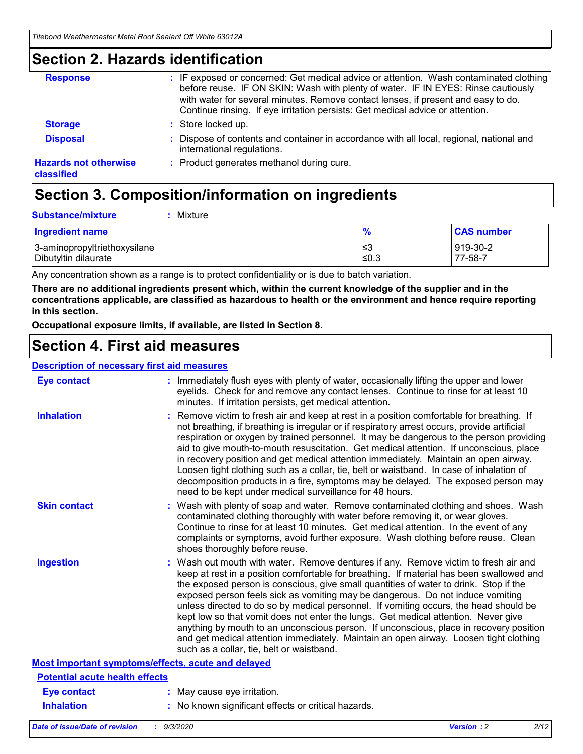### **Section 2. Hazards identification**

| <b>Response</b>                            | : IF exposed or concerned: Get medical advice or attention. Wash contaminated clothing<br>before reuse. IF ON SKIN: Wash with plenty of water. IF IN EYES: Rinse cautiously<br>with water for several minutes. Remove contact lenses, if present and easy to do.<br>Continue rinsing. If eye irritation persists: Get medical advice or attention. |
|--------------------------------------------|----------------------------------------------------------------------------------------------------------------------------------------------------------------------------------------------------------------------------------------------------------------------------------------------------------------------------------------------------|
| <b>Storage</b>                             | : Store locked up.                                                                                                                                                                                                                                                                                                                                 |
| <b>Disposal</b>                            | : Dispose of contents and container in accordance with all local, regional, national and<br>international regulations.                                                                                                                                                                                                                             |
| <b>Hazards not otherwise</b><br>classified | : Product generates methanol during cure.                                                                                                                                                                                                                                                                                                          |

## **Section 3. Composition/information on ingredients**

| <b>Ingredient name</b>       | $\frac{9}{6}$ | <b>CAS number</b> |
|------------------------------|---------------|-------------------|
| 3-aminopropyltriethoxysilane | ՝≤3           | 919-30-2          |
| Dibutyltin dilaurate         | ∣≤0.3         | 77-58-7           |

Any concentration shown as a range is to protect confidentiality or is due to batch variation.

**There are no additional ingredients present which, within the current knowledge of the supplier and in the concentrations applicable, are classified as hazardous to health or the environment and hence require reporting in this section.**

**Occupational exposure limits, if available, are listed in Section 8.**

## **Section 4. First aid measures**

| <b>Description of necessary first aid measures</b> |                                                                                                                                                                                                                                                                                                                                                                                                                                                                                                                                                                                                                                                                                                                                                                           |
|----------------------------------------------------|---------------------------------------------------------------------------------------------------------------------------------------------------------------------------------------------------------------------------------------------------------------------------------------------------------------------------------------------------------------------------------------------------------------------------------------------------------------------------------------------------------------------------------------------------------------------------------------------------------------------------------------------------------------------------------------------------------------------------------------------------------------------------|
| <b>Eye contact</b>                                 | : Immediately flush eyes with plenty of water, occasionally lifting the upper and lower<br>eyelids. Check for and remove any contact lenses. Continue to rinse for at least 10<br>minutes. If irritation persists, get medical attention.                                                                                                                                                                                                                                                                                                                                                                                                                                                                                                                                 |
| <b>Inhalation</b>                                  | : Remove victim to fresh air and keep at rest in a position comfortable for breathing. If<br>not breathing, if breathing is irregular or if respiratory arrest occurs, provide artificial<br>respiration or oxygen by trained personnel. It may be dangerous to the person providing<br>aid to give mouth-to-mouth resuscitation. Get medical attention. If unconscious, place<br>in recovery position and get medical attention immediately. Maintain an open airway.<br>Loosen tight clothing such as a collar, tie, belt or waistband. In case of inhalation of<br>decomposition products in a fire, symptoms may be delayed. The exposed person may<br>need to be kept under medical surveillance for 48 hours.                                                       |
| <b>Skin contact</b>                                | : Wash with plenty of soap and water. Remove contaminated clothing and shoes. Wash<br>contaminated clothing thoroughly with water before removing it, or wear gloves.<br>Continue to rinse for at least 10 minutes. Get medical attention. In the event of any<br>complaints or symptoms, avoid further exposure. Wash clothing before reuse. Clean<br>shoes thoroughly before reuse.                                                                                                                                                                                                                                                                                                                                                                                     |
| <b>Ingestion</b>                                   | : Wash out mouth with water. Remove dentures if any. Remove victim to fresh air and<br>keep at rest in a position comfortable for breathing. If material has been swallowed and<br>the exposed person is conscious, give small quantities of water to drink. Stop if the<br>exposed person feels sick as vomiting may be dangerous. Do not induce vomiting<br>unless directed to do so by medical personnel. If vomiting occurs, the head should be<br>kept low so that vomit does not enter the lungs. Get medical attention. Never give<br>anything by mouth to an unconscious person. If unconscious, place in recovery position<br>and get medical attention immediately. Maintain an open airway. Loosen tight clothing<br>such as a collar, tie, belt or waistband. |
| Most important symptoms/effects, acute and delayed |                                                                                                                                                                                                                                                                                                                                                                                                                                                                                                                                                                                                                                                                                                                                                                           |
| <b>Potential acute health effects</b>              |                                                                                                                                                                                                                                                                                                                                                                                                                                                                                                                                                                                                                                                                                                                                                                           |
| <b>Eye contact</b>                                 | : May cause eye irritation.                                                                                                                                                                                                                                                                                                                                                                                                                                                                                                                                                                                                                                                                                                                                               |
| <b>Inhalation</b>                                  | : No known significant effects or critical hazards.                                                                                                                                                                                                                                                                                                                                                                                                                                                                                                                                                                                                                                                                                                                       |
|                                                    |                                                                                                                                                                                                                                                                                                                                                                                                                                                                                                                                                                                                                                                                                                                                                                           |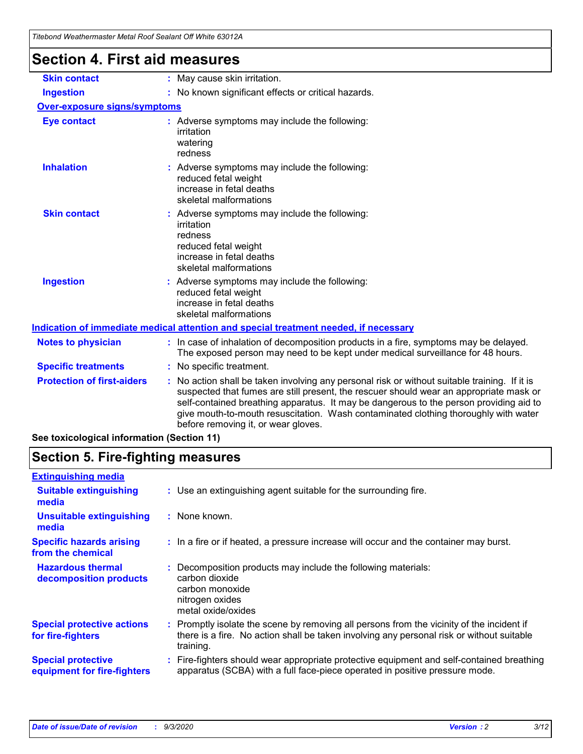| Titebond Weathermaster Metal Roof Sealant Off White 63012A |                                                                                                                                                                                                                                                                                                                                                                                                               |  |
|------------------------------------------------------------|---------------------------------------------------------------------------------------------------------------------------------------------------------------------------------------------------------------------------------------------------------------------------------------------------------------------------------------------------------------------------------------------------------------|--|
| <b>Section 4. First aid measures</b>                       |                                                                                                                                                                                                                                                                                                                                                                                                               |  |
| <b>Skin contact</b>                                        | : May cause skin irritation.                                                                                                                                                                                                                                                                                                                                                                                  |  |
| <b>Ingestion</b>                                           | : No known significant effects or critical hazards.                                                                                                                                                                                                                                                                                                                                                           |  |
| <b>Over-exposure signs/symptoms</b>                        |                                                                                                                                                                                                                                                                                                                                                                                                               |  |
| <b>Eye contact</b>                                         | : Adverse symptoms may include the following:<br>irritation<br>watering<br>redness                                                                                                                                                                                                                                                                                                                            |  |
| <b>Inhalation</b>                                          | : Adverse symptoms may include the following:<br>reduced fetal weight<br>increase in fetal deaths<br>skeletal malformations                                                                                                                                                                                                                                                                                   |  |
| <b>Skin contact</b>                                        | : Adverse symptoms may include the following:<br>irritation<br>redness<br>reduced fetal weight<br>increase in fetal deaths<br>skeletal malformations                                                                                                                                                                                                                                                          |  |
| <b>Ingestion</b>                                           | Adverse symptoms may include the following:<br>reduced fetal weight<br>increase in fetal deaths<br>skeletal malformations                                                                                                                                                                                                                                                                                     |  |
|                                                            | Indication of immediate medical attention and special treatment needed, if necessary                                                                                                                                                                                                                                                                                                                          |  |
| <b>Notes to physician</b>                                  | : In case of inhalation of decomposition products in a fire, symptoms may be delayed.<br>The exposed person may need to be kept under medical surveillance for 48 hours.                                                                                                                                                                                                                                      |  |
| <b>Specific treatments</b>                                 | No specific treatment.                                                                                                                                                                                                                                                                                                                                                                                        |  |
| <b>Protection of first-aiders</b>                          | No action shall be taken involving any personal risk or without suitable training. If it is<br>suspected that fumes are still present, the rescuer should wear an appropriate mask or<br>self-contained breathing apparatus. It may be dangerous to the person providing aid to<br>give mouth-to-mouth resuscitation. Wash contaminated clothing thoroughly with water<br>before removing it, or wear gloves. |  |

**See toxicological information (Section 11)**

## **Section 5. Fire-fighting measures**

| <b>Extinguishing media</b>                               |                                                                                                                                                                                                     |
|----------------------------------------------------------|-----------------------------------------------------------------------------------------------------------------------------------------------------------------------------------------------------|
| <b>Suitable extinguishing</b><br>media                   | : Use an extinguishing agent suitable for the surrounding fire.                                                                                                                                     |
| <b>Unsuitable extinguishing</b><br>media                 | : None known.                                                                                                                                                                                       |
| <b>Specific hazards arising</b><br>from the chemical     | : In a fire or if heated, a pressure increase will occur and the container may burst.                                                                                                               |
| <b>Hazardous thermal</b><br>decomposition products       | : Decomposition products may include the following materials:<br>carbon dioxide<br>carbon monoxide<br>nitrogen oxides<br>metal oxide/oxides                                                         |
| <b>Special protective actions</b><br>for fire-fighters   | : Promptly isolate the scene by removing all persons from the vicinity of the incident if<br>there is a fire. No action shall be taken involving any personal risk or without suitable<br>training. |
| <b>Special protective</b><br>equipment for fire-fighters | Fire-fighters should wear appropriate protective equipment and self-contained breathing<br>apparatus (SCBA) with a full face-piece operated in positive pressure mode.                              |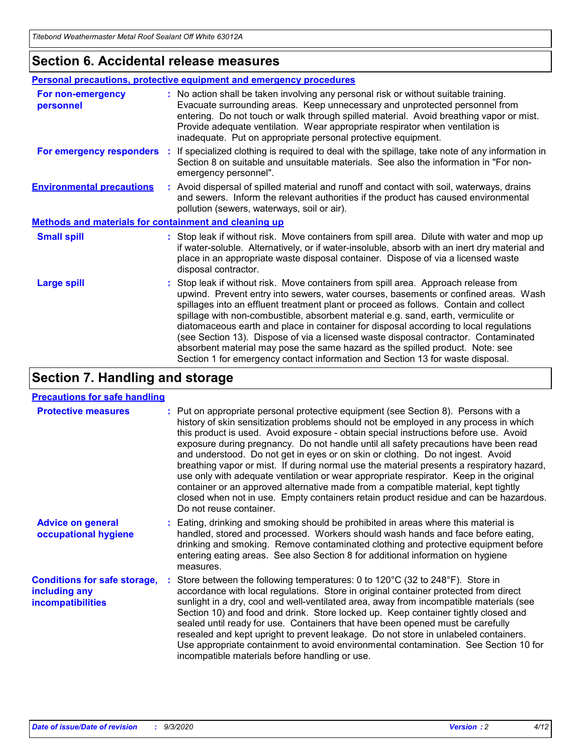### **Section 6. Accidental release measures**

|                                                              | <b>Personal precautions, protective equipment and emergency procedures</b>                                                                                                                                                                                                                                                                                                                                                                                                                                                                                                                                                                                                                                   |  |  |  |  |
|--------------------------------------------------------------|--------------------------------------------------------------------------------------------------------------------------------------------------------------------------------------------------------------------------------------------------------------------------------------------------------------------------------------------------------------------------------------------------------------------------------------------------------------------------------------------------------------------------------------------------------------------------------------------------------------------------------------------------------------------------------------------------------------|--|--|--|--|
| For non-emergency<br>personnel                               | : No action shall be taken involving any personal risk or without suitable training.<br>Evacuate surrounding areas. Keep unnecessary and unprotected personnel from<br>entering. Do not touch or walk through spilled material. Avoid breathing vapor or mist.<br>Provide adequate ventilation. Wear appropriate respirator when ventilation is<br>inadequate. Put on appropriate personal protective equipment.                                                                                                                                                                                                                                                                                             |  |  |  |  |
| For emergency responders                                     | : If specialized clothing is required to deal with the spillage, take note of any information in<br>Section 8 on suitable and unsuitable materials. See also the information in "For non-<br>emergency personnel".                                                                                                                                                                                                                                                                                                                                                                                                                                                                                           |  |  |  |  |
| <b>Environmental precautions</b>                             | : Avoid dispersal of spilled material and runoff and contact with soil, waterways, drains<br>and sewers. Inform the relevant authorities if the product has caused environmental<br>pollution (sewers, waterways, soil or air).                                                                                                                                                                                                                                                                                                                                                                                                                                                                              |  |  |  |  |
| <b>Methods and materials for containment and cleaning up</b> |                                                                                                                                                                                                                                                                                                                                                                                                                                                                                                                                                                                                                                                                                                              |  |  |  |  |
| <b>Small spill</b>                                           | : Stop leak if without risk. Move containers from spill area. Dilute with water and mop up<br>if water-soluble. Alternatively, or if water-insoluble, absorb with an inert dry material and<br>place in an appropriate waste disposal container. Dispose of via a licensed waste<br>disposal contractor.                                                                                                                                                                                                                                                                                                                                                                                                     |  |  |  |  |
| <b>Large spill</b>                                           | : Stop leak if without risk. Move containers from spill area. Approach release from<br>upwind. Prevent entry into sewers, water courses, basements or confined areas. Wash<br>spillages into an effluent treatment plant or proceed as follows. Contain and collect<br>spillage with non-combustible, absorbent material e.g. sand, earth, vermiculite or<br>diatomaceous earth and place in container for disposal according to local regulations<br>(see Section 13). Dispose of via a licensed waste disposal contractor. Contaminated<br>absorbent material may pose the same hazard as the spilled product. Note: see<br>Section 1 for emergency contact information and Section 13 for waste disposal. |  |  |  |  |

## **Section 7. Handling and storage**

### **Precautions for safe handling**

| <b>Protective measures</b>                                                       | : Put on appropriate personal protective equipment (see Section 8). Persons with a<br>history of skin sensitization problems should not be employed in any process in which<br>this product is used. Avoid exposure - obtain special instructions before use. Avoid<br>exposure during pregnancy. Do not handle until all safety precautions have been read<br>and understood. Do not get in eyes or on skin or clothing. Do not ingest. Avoid<br>breathing vapor or mist. If during normal use the material presents a respiratory hazard,<br>use only with adequate ventilation or wear appropriate respirator. Keep in the original<br>container or an approved alternative made from a compatible material, kept tightly<br>closed when not in use. Empty containers retain product residue and can be hazardous.<br>Do not reuse container. |
|----------------------------------------------------------------------------------|--------------------------------------------------------------------------------------------------------------------------------------------------------------------------------------------------------------------------------------------------------------------------------------------------------------------------------------------------------------------------------------------------------------------------------------------------------------------------------------------------------------------------------------------------------------------------------------------------------------------------------------------------------------------------------------------------------------------------------------------------------------------------------------------------------------------------------------------------|
| <b>Advice on general</b><br>occupational hygiene                                 | : Eating, drinking and smoking should be prohibited in areas where this material is<br>handled, stored and processed. Workers should wash hands and face before eating,<br>drinking and smoking. Remove contaminated clothing and protective equipment before<br>entering eating areas. See also Section 8 for additional information on hygiene<br>measures.                                                                                                                                                                                                                                                                                                                                                                                                                                                                                    |
| <b>Conditions for safe storage,</b><br>including any<br><i>incompatibilities</i> | Store between the following temperatures: 0 to 120°C (32 to 248°F). Store in<br>accordance with local regulations. Store in original container protected from direct<br>sunlight in a dry, cool and well-ventilated area, away from incompatible materials (see<br>Section 10) and food and drink. Store locked up. Keep container tightly closed and<br>sealed until ready for use. Containers that have been opened must be carefully<br>resealed and kept upright to prevent leakage. Do not store in unlabeled containers.<br>Use appropriate containment to avoid environmental contamination. See Section 10 for<br>incompatible materials before handling or use.                                                                                                                                                                         |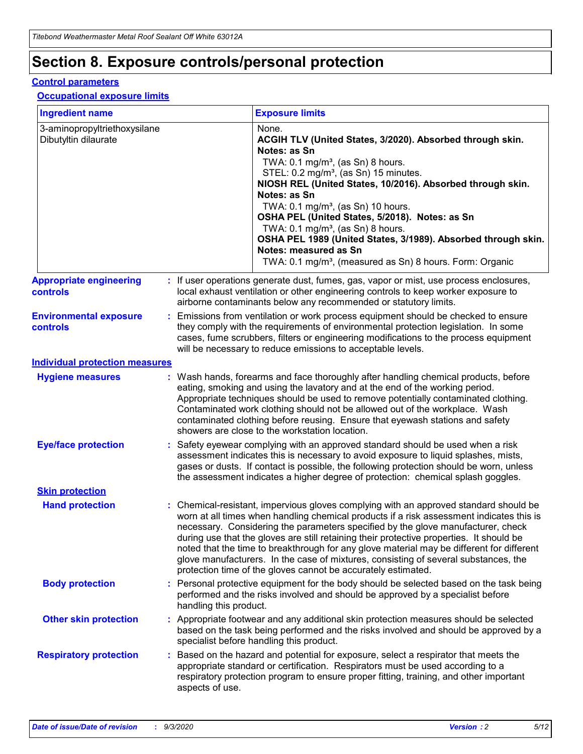## **Section 8. Exposure controls/personal protection**

### **Control parameters**

#### **Occupational exposure limits**

| <b>Ingredient name</b>                               |    |                        | <b>Exposure limits</b>                                                                                                                                                                                                                                                                                                                                                                                                                                                                                                                                                                                                 |
|------------------------------------------------------|----|------------------------|------------------------------------------------------------------------------------------------------------------------------------------------------------------------------------------------------------------------------------------------------------------------------------------------------------------------------------------------------------------------------------------------------------------------------------------------------------------------------------------------------------------------------------------------------------------------------------------------------------------------|
| 3-aminopropyltriethoxysilane<br>Dibutyltin dilaurate |    |                        | None.<br>ACGIH TLV (United States, 3/2020). Absorbed through skin.<br>Notes: as Sn<br>TWA: 0.1 mg/m <sup>3</sup> , (as Sn) 8 hours.<br>STEL: 0.2 mg/m <sup>3</sup> , (as Sn) 15 minutes.<br>NIOSH REL (United States, 10/2016). Absorbed through skin.<br>Notes: as Sn<br>TWA: 0.1 mg/m <sup>3</sup> , (as Sn) 10 hours.<br>OSHA PEL (United States, 5/2018). Notes: as Sn<br>TWA: $0.1 \text{ mg/m}^3$ , (as Sn) 8 hours.<br>OSHA PEL 1989 (United States, 3/1989). Absorbed through skin.<br>Notes: measured as Sn<br>TWA: 0.1 mg/m <sup>3</sup> , (measured as Sn) 8 hours. Form: Organic                           |
| <b>Appropriate engineering</b><br>controls           |    |                        | : If user operations generate dust, fumes, gas, vapor or mist, use process enclosures,<br>local exhaust ventilation or other engineering controls to keep worker exposure to<br>airborne contaminants below any recommended or statutory limits.                                                                                                                                                                                                                                                                                                                                                                       |
| <b>Environmental exposure</b><br><b>controls</b>     |    |                        | Emissions from ventilation or work process equipment should be checked to ensure<br>they comply with the requirements of environmental protection legislation. In some<br>cases, fume scrubbers, filters or engineering modifications to the process equipment<br>will be necessary to reduce emissions to acceptable levels.                                                                                                                                                                                                                                                                                          |
| <b>Individual protection measures</b>                |    |                        |                                                                                                                                                                                                                                                                                                                                                                                                                                                                                                                                                                                                                        |
| <b>Hygiene measures</b>                              |    |                        | : Wash hands, forearms and face thoroughly after handling chemical products, before<br>eating, smoking and using the lavatory and at the end of the working period.<br>Appropriate techniques should be used to remove potentially contaminated clothing.<br>Contaminated work clothing should not be allowed out of the workplace. Wash<br>contaminated clothing before reusing. Ensure that eyewash stations and safety<br>showers are close to the workstation location.                                                                                                                                            |
| <b>Eye/face protection</b>                           |    |                        | : Safety eyewear complying with an approved standard should be used when a risk<br>assessment indicates this is necessary to avoid exposure to liquid splashes, mists,<br>gases or dusts. If contact is possible, the following protection should be worn, unless<br>the assessment indicates a higher degree of protection: chemical splash goggles.                                                                                                                                                                                                                                                                  |
| <b>Skin protection</b>                               |    |                        |                                                                                                                                                                                                                                                                                                                                                                                                                                                                                                                                                                                                                        |
| <b>Hand protection</b>                               |    |                        | : Chemical-resistant, impervious gloves complying with an approved standard should be<br>worn at all times when handling chemical products if a risk assessment indicates this is<br>necessary. Considering the parameters specified by the glove manufacturer, check<br>during use that the gloves are still retaining their protective properties. It should be<br>noted that the time to breakthrough for any glove material may be different for different<br>glove manufacturers. In the case of mixtures, consisting of several substances, the<br>protection time of the gloves cannot be accurately estimated. |
| <b>Body protection</b>                               |    | handling this product. | Personal protective equipment for the body should be selected based on the task being<br>performed and the risks involved and should be approved by a specialist before                                                                                                                                                                                                                                                                                                                                                                                                                                                |
| <b>Other skin protection</b>                         |    |                        | : Appropriate footwear and any additional skin protection measures should be selected<br>based on the task being performed and the risks involved and should be approved by a<br>specialist before handling this product.                                                                                                                                                                                                                                                                                                                                                                                              |
| <b>Respiratory protection</b>                        | ÷. | aspects of use.        | Based on the hazard and potential for exposure, select a respirator that meets the<br>appropriate standard or certification. Respirators must be used according to a<br>respiratory protection program to ensure proper fitting, training, and other important                                                                                                                                                                                                                                                                                                                                                         |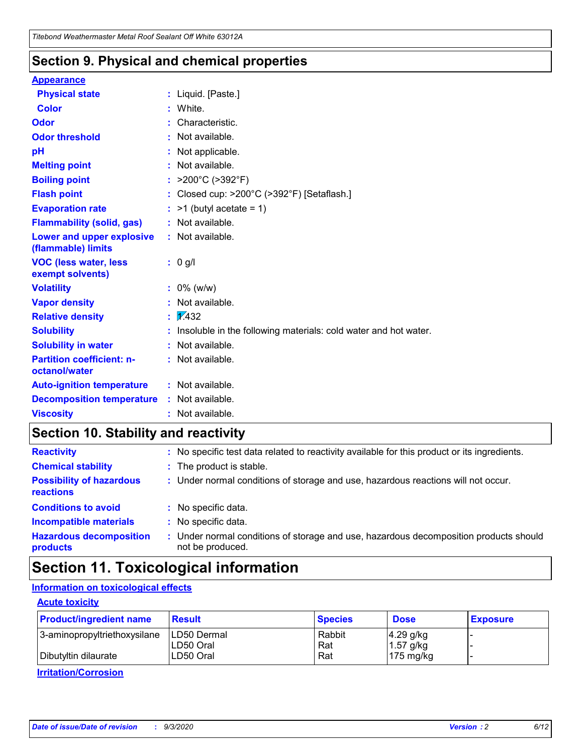### **Section 9. Physical and chemical properties**

#### **Appearance**

| <b>Physical state</b>                                  | : Liquid. [Paste.]                                              |
|--------------------------------------------------------|-----------------------------------------------------------------|
| Color                                                  | White.                                                          |
| Odor                                                   | Characteristic.                                                 |
| <b>Odor threshold</b>                                  | Not available.                                                  |
| pH                                                     | Not applicable.                                                 |
| <b>Melting point</b>                                   | Not available.                                                  |
| <b>Boiling point</b>                                   | : $>200^{\circ}$ C ( $>392^{\circ}$ F)                          |
| <b>Flash point</b>                                     | Closed cup: >200°C (>392°F) [Setaflash.]                        |
| <b>Evaporation rate</b>                                | $:$ >1 (butyl acetate = 1)                                      |
| <b>Flammability (solid, gas)</b>                       | : Not available.                                                |
| <b>Lower and upper explosive</b><br>(flammable) limits | : Not available.                                                |
| <b>VOC (less water, less)</b><br>exempt solvents)      | $: 0$ g/l                                                       |
| <b>Volatility</b>                                      | $: 0\%$ (w/w)                                                   |
| <b>Vapor density</b>                                   | Not available.                                                  |
| <b>Relative density</b>                                | $\frac{1}{2}$ 2.432                                             |
| <b>Solubility</b>                                      | Insoluble in the following materials: cold water and hot water. |
| <b>Solubility in water</b>                             | Not available.                                                  |
| <b>Partition coefficient: n-</b><br>octanol/water      | : Not available.                                                |
| <b>Auto-ignition temperature</b>                       | : Not available.                                                |
| <b>Decomposition temperature</b>                       | : Not available.                                                |
| <b>Viscosity</b>                                       | : Not available.                                                |

## **Section 10. Stability and reactivity**

| <b>Reactivity</b>                            |    | : No specific test data related to reactivity available for this product or its ingredients.            |
|----------------------------------------------|----|---------------------------------------------------------------------------------------------------------|
| <b>Chemical stability</b>                    |    | : The product is stable.                                                                                |
| <b>Possibility of hazardous</b><br>reactions |    | : Under normal conditions of storage and use, hazardous reactions will not occur.                       |
| <b>Conditions to avoid</b>                   |    | : No specific data.                                                                                     |
| <b>Incompatible materials</b>                | ٠. | No specific data.                                                                                       |
| <b>Hazardous decomposition</b><br>products   | ÷. | Under normal conditions of storage and use, hazardous decomposition products should<br>not be produced. |

## **Section 11. Toxicological information**

### **Information on toxicological effects**

### **Acute toxicity**

| <b>Product/ingredient name</b> | <b>Result</b>           | <b>Species</b> | <b>Dose</b>                | <b>Exposure</b> |
|--------------------------------|-------------------------|----------------|----------------------------|-----------------|
| 3-aminopropyltriethoxysilane   | <b>ILD50 Dermal</b>     | Rabbit         | 4.29 g/kg                  |                 |
| Dibutyltin dilaurate           | ILD50 Oral<br>LD50 Oral | Rat<br>Rat     | $1.57$ g/kg<br>175 $mg/kg$ |                 |
|                                |                         |                |                            |                 |

**Irritation/Corrosion**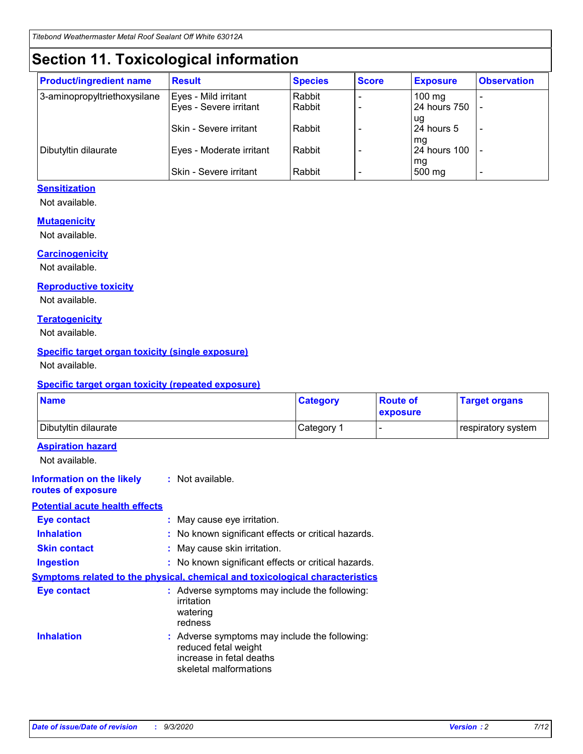## **Section 11. Toxicological information**

| <b>Product/ingredient name</b> | <b>Result</b>            | <b>Species</b> | <b>Score</b> | <b>Exposure</b> | <b>Observation</b> |
|--------------------------------|--------------------------|----------------|--------------|-----------------|--------------------|
| 3-aminopropyltriethoxysilane   | Eyes - Mild irritant     | Rabbit         |              | $100$ mg        |                    |
|                                | Eyes - Severe irritant   | Rabbit         |              | 24 hours 750    |                    |
|                                |                          |                |              | ug              |                    |
|                                | Skin - Severe irritant   | Rabbit         |              | 24 hours 5      | -                  |
|                                |                          |                |              | mg              |                    |
| Dibutyltin dilaurate           | Eyes - Moderate irritant | Rabbit         |              | 24 hours 100    |                    |
|                                | Skin - Severe irritant   | Rabbit         |              | mg<br>500 mg    | -                  |

### **Sensitization**

Not available.

### **Mutagenicity**

Not available.

### **Carcinogenicity**

Not available.

#### **Reproductive toxicity**

Not available.

### **Teratogenicity**

Not available.

### **Specific target organ toxicity (single exposure)**

Not available.

### **Specific target organ toxicity (repeated exposure)**

| <b>Name</b>                                                                         |                                   | <b>Category</b>                                                                                                             | <b>Route of</b><br>exposure | <b>Target organs</b> |  |  |
|-------------------------------------------------------------------------------------|-----------------------------------|-----------------------------------------------------------------------------------------------------------------------------|-----------------------------|----------------------|--|--|
| Dibutyltin dilaurate                                                                |                                   | Category 1                                                                                                                  | -                           | respiratory system   |  |  |
| <b>Aspiration hazard</b><br>Not available.                                          |                                   |                                                                                                                             |                             |                      |  |  |
| <b>Information on the likely</b><br>routes of exposure                              | : Not available.                  |                                                                                                                             |                             |                      |  |  |
| <b>Potential acute health effects</b>                                               |                                   |                                                                                                                             |                             |                      |  |  |
| <b>Eye contact</b>                                                                  | : May cause eye irritation.       |                                                                                                                             |                             |                      |  |  |
| <b>Inhalation</b>                                                                   |                                   | : No known significant effects or critical hazards.                                                                         |                             |                      |  |  |
| <b>Skin contact</b>                                                                 |                                   | : May cause skin irritation.                                                                                                |                             |                      |  |  |
| <b>Ingestion</b>                                                                    |                                   | : No known significant effects or critical hazards.                                                                         |                             |                      |  |  |
| <b>Symptoms related to the physical, chemical and toxicological characteristics</b> |                                   |                                                                                                                             |                             |                      |  |  |
| <b>Eye contact</b>                                                                  | irritation<br>watering<br>redness | : Adverse symptoms may include the following:                                                                               |                             |                      |  |  |
| <b>Inhalation</b>                                                                   |                                   | : Adverse symptoms may include the following:<br>reduced fetal weight<br>increase in fetal deaths<br>skeletal malformations |                             |                      |  |  |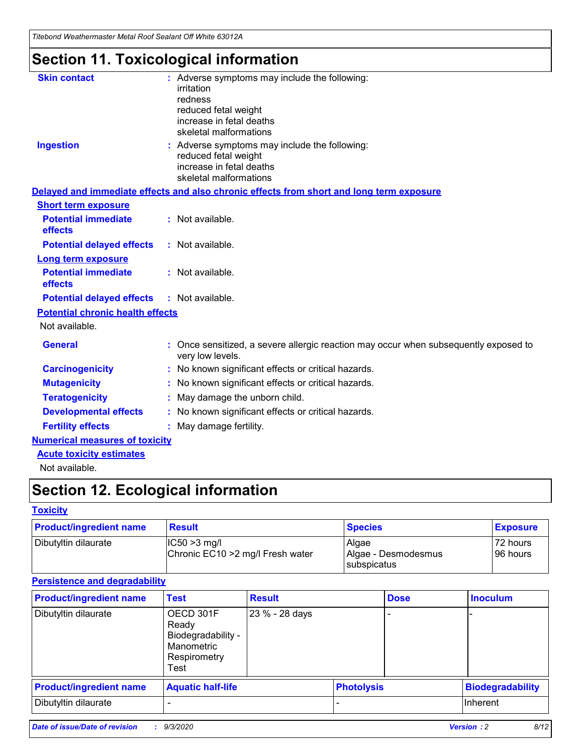*Titebond Weathermaster Metal Roof Sealant Off White 63012A*

## **Section 11. Toxicological information**

| <b>Skin contact</b>                     | : Adverse symptoms may include the following:<br>irritation                                                                 |  |
|-----------------------------------------|-----------------------------------------------------------------------------------------------------------------------------|--|
|                                         | redness                                                                                                                     |  |
|                                         | reduced fetal weight<br>increase in fetal deaths                                                                            |  |
|                                         | skeletal malformations                                                                                                      |  |
| <b>Ingestion</b>                        | : Adverse symptoms may include the following:<br>reduced fetal weight<br>increase in fetal deaths<br>skeletal malformations |  |
|                                         | Delayed and immediate effects and also chronic effects from short and long term exposure                                    |  |
| <b>Short term exposure</b>              |                                                                                                                             |  |
| <b>Potential immediate</b><br>effects   | : Not available.                                                                                                            |  |
| <b>Potential delayed effects</b>        | : Not available.                                                                                                            |  |
| <b>Long term exposure</b>               |                                                                                                                             |  |
| <b>Potential immediate</b><br>effects   | : Not available.                                                                                                            |  |
| <b>Potential delayed effects</b>        | : Not available.                                                                                                            |  |
| <b>Potential chronic health effects</b> |                                                                                                                             |  |
| Not available.                          |                                                                                                                             |  |
| <b>General</b>                          | : Once sensitized, a severe allergic reaction may occur when subsequently exposed to<br>very low levels.                    |  |
| <b>Carcinogenicity</b>                  | : No known significant effects or critical hazards.                                                                         |  |
| <b>Mutagenicity</b>                     | : No known significant effects or critical hazards.                                                                         |  |
| <b>Teratogenicity</b>                   | May damage the unborn child.                                                                                                |  |
| <b>Developmental effects</b>            | : No known significant effects or critical hazards.                                                                         |  |
| <b>Fertility effects</b>                | : May damage fertility.                                                                                                     |  |
| <b>Numerical measures of toxicity</b>   |                                                                                                                             |  |
| <b>Acute toxicity estimates</b>         |                                                                                                                             |  |
| والمادانون والملا                       |                                                                                                                             |  |

Not available.

## **Section 12. Ecological information**

### **Toxicity**

| <b>Product/ingredient name</b> | <b>Result</b>                                       | <b>Species</b>               | <b>Exposure</b>       |
|--------------------------------|-----------------------------------------------------|------------------------------|-----------------------|
| Dibutyltin dilaurate           | $ CC50>3$ mg/l<br>Chronic EC10 > 2 mg/l Fresh water | Algae<br>Algae - Desmodesmus | 72 hours<br>196 hours |
|                                |                                                     | <b>I</b> subspicatus         |                       |

### **Persistence and degradability**

| <b>Product/ingredient name</b> | <b>Test</b>                                                                    | <b>Result</b>  |                   | <b>Dose</b> | <b>Inoculum</b>         |
|--------------------------------|--------------------------------------------------------------------------------|----------------|-------------------|-------------|-------------------------|
| Dibutyltin dilaurate           | OECD 301F<br>Ready<br>Biodegradability -<br>Manometric<br>Respirometry<br>Test | 23 % - 28 days |                   |             |                         |
| <b>Product/ingredient name</b> | <b>Aquatic half-life</b>                                                       |                | <b>Photolysis</b> |             | <b>Biodegradability</b> |
| Dibutyltin dilaurate           |                                                                                |                |                   |             | <b>Inherent</b>         |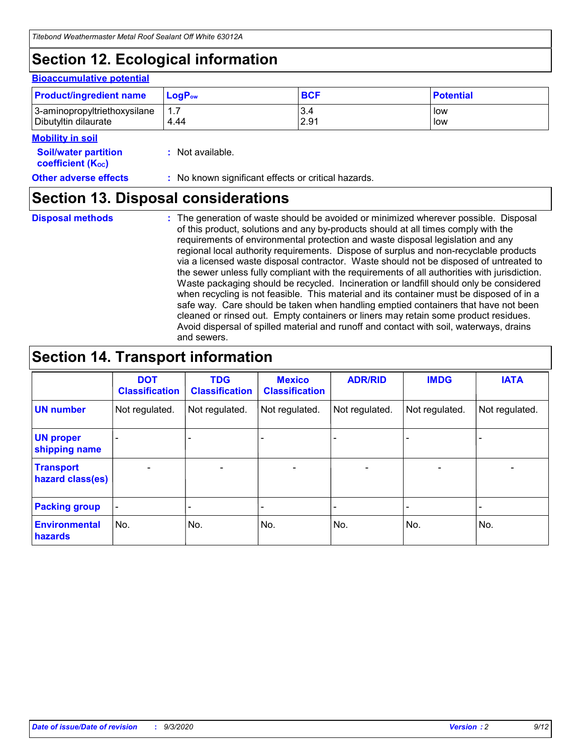## **Section 12. Ecological information**

#### **Bioaccumulative potential**

| <b>Product/ingredient name</b> | $\mathsf{LogP}_\mathsf{ow}$ | <b>BCF</b> | <b>Potential</b> |
|--------------------------------|-----------------------------|------------|------------------|
| 3-aminopropyltriethoxysilane   | 1.7                         | 3.4        | low              |
| Dibutyltin dilaurate           | 4.44                        | 2.91       | low              |

### **Mobility in soil**

| <b>INIUDIIILY III SUII</b>                                    |                                                     |
|---------------------------------------------------------------|-----------------------------------------------------|
| <b>Soil/water partition</b><br>coefficient (K <sub>oc</sub> ) | : Not available.                                    |
| <b>Other adverse effects</b>                                  | : No known significant effects or critical hazards. |

### **Section 13. Disposal considerations**

**Disposal methods :**

The generation of waste should be avoided or minimized wherever possible. Disposal of this product, solutions and any by-products should at all times comply with the requirements of environmental protection and waste disposal legislation and any regional local authority requirements. Dispose of surplus and non-recyclable products via a licensed waste disposal contractor. Waste should not be disposed of untreated to the sewer unless fully compliant with the requirements of all authorities with jurisdiction. Waste packaging should be recycled. Incineration or landfill should only be considered when recycling is not feasible. This material and its container must be disposed of in a safe way. Care should be taken when handling emptied containers that have not been cleaned or rinsed out. Empty containers or liners may retain some product residues. Avoid dispersal of spilled material and runoff and contact with soil, waterways, drains and sewers.

## **Section 14. Transport information**

|                                      | <b>DOT</b><br><b>Classification</b> | <b>TDG</b><br><b>Classification</b> | <b>Mexico</b><br><b>Classification</b> | <b>ADR/RID</b>           | <b>IMDG</b>              | <b>IATA</b>    |
|--------------------------------------|-------------------------------------|-------------------------------------|----------------------------------------|--------------------------|--------------------------|----------------|
| <b>UN number</b>                     | Not regulated.                      | Not regulated.                      | Not regulated.                         | Not regulated.           | Not regulated.           | Not regulated. |
| <b>UN proper</b><br>shipping name    |                                     |                                     |                                        |                          |                          |                |
| <b>Transport</b><br>hazard class(es) | $\blacksquare$                      | $\overline{\phantom{0}}$            | $\overline{\phantom{a}}$               | $\overline{\phantom{0}}$ | $\overline{\phantom{a}}$ | $\blacksquare$ |
| <b>Packing group</b>                 |                                     |                                     |                                        |                          |                          | -              |
| <b>Environmental</b><br>hazards      | No.                                 | No.                                 | No.                                    | No.                      | No.                      | No.            |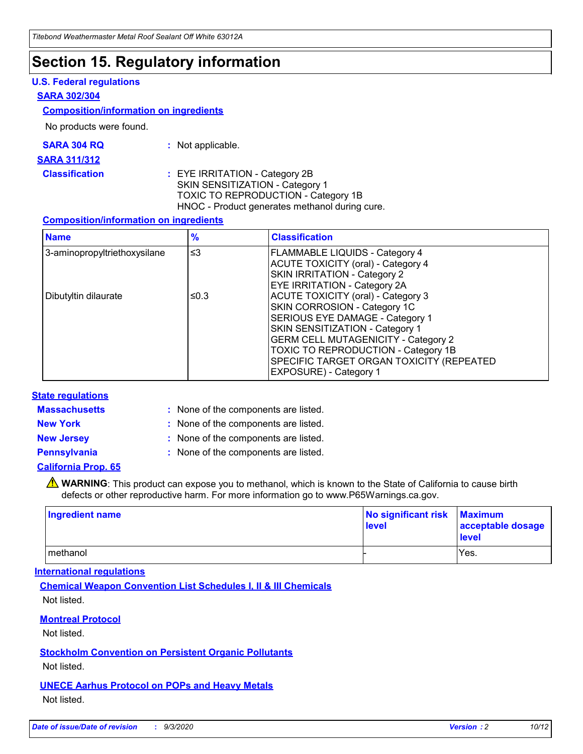## **Section 15. Regulatory information**

### **U.S. Federal regulations**

#### **SARA 302/304**

#### **Composition/information on ingredients**

No products were found.

| SARA 304 RQ | Not applicable. |
|-------------|-----------------|
|             |                 |

#### **SARA 311/312**

**Classification :** EYE IRRITATION - Category 2B SKIN SENSITIZATION - Category 1 TOXIC TO REPRODUCTION - Category 1B HNOC - Product generates methanol during cure.

### **Composition/information on ingredients**

| <b>Name</b>                  | $\frac{9}{6}$ | <b>Classification</b>                                                                                                                                                                                                                                                                                      |
|------------------------------|---------------|------------------------------------------------------------------------------------------------------------------------------------------------------------------------------------------------------------------------------------------------------------------------------------------------------------|
| 3-aminopropyltriethoxysilane | $\leq$ 3      | <b>FLAMMABLE LIQUIDS - Category 4</b><br><b>ACUTE TOXICITY (oral) - Category 4</b><br><b>SKIN IRRITATION - Category 2</b><br>EYE IRRITATION - Category 2A                                                                                                                                                  |
| Dibutyltin dilaurate         | ≤0.3          | <b>ACUTE TOXICITY (oral) - Category 3</b><br>SKIN CORROSION - Category 1C<br>SERIOUS EYE DAMAGE - Category 1<br>SKIN SENSITIZATION - Category 1<br><b>GERM CELL MUTAGENICITY - Category 2</b><br>TOXIC TO REPRODUCTION - Category 1B<br>SPECIFIC TARGET ORGAN TOXICITY (REPEATED<br>EXPOSURE) - Category 1 |

### **State regulations**

**Massachusetts :**

: None of the components are listed.

**New York :** None of the components are listed.

**New Jersey :** None of the components are listed.

**Pennsylvania :** None of the components are listed.

### **California Prop. 65**

WARNING: This product can expose you to methanol, which is known to the State of California to cause birth defects or other reproductive harm. For more information go to www.P65Warnings.ca.gov.

| Ingredient name | No significant risk<br>level | <b>Maximum</b><br>acceptable dosage<br>level |
|-----------------|------------------------------|----------------------------------------------|
| methanol        |                              | Yes.                                         |

### **International regulations**

**Chemical Weapon Convention List Schedules I, II & III Chemicals** Not listed.

### **Montreal Protocol**

Not listed.

**Stockholm Convention on Persistent Organic Pollutants**

Not listed.

### **UNECE Aarhus Protocol on POPs and Heavy Metals** Not listed.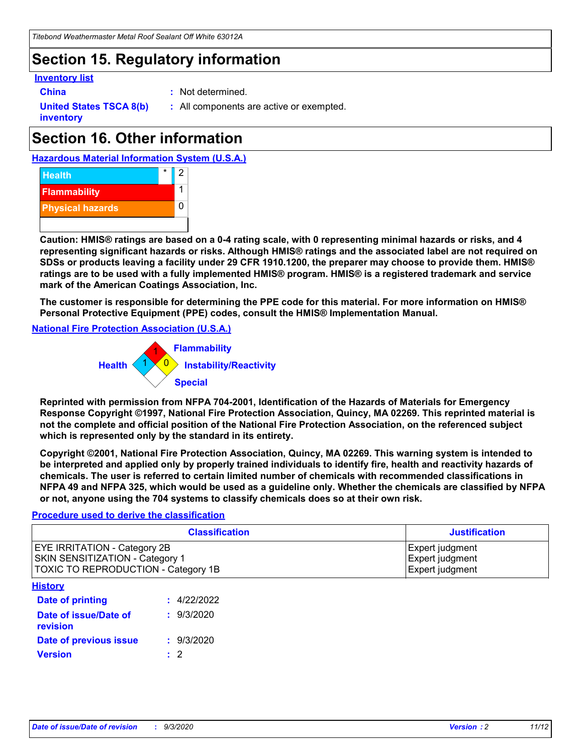## **Section 15. Regulatory information**

### **Inventory list**

- 
- **China :** Not determined.

**United States TSCA 8(b) inventory**

**:** All components are active or exempted.

## **Section 16. Other information**





**Caution: HMIS® ratings are based on a 0-4 rating scale, with 0 representing minimal hazards or risks, and 4 representing significant hazards or risks. Although HMIS® ratings and the associated label are not required on SDSs or products leaving a facility under 29 CFR 1910.1200, the preparer may choose to provide them. HMIS® ratings are to be used with a fully implemented HMIS® program. HMIS® is a registered trademark and service mark of the American Coatings Association, Inc.**

**The customer is responsible for determining the PPE code for this material. For more information on HMIS® Personal Protective Equipment (PPE) codes, consult the HMIS® Implementation Manual.**

**National Fire Protection Association (U.S.A.)**



**Reprinted with permission from NFPA 704-2001, Identification of the Hazards of Materials for Emergency Response Copyright ©1997, National Fire Protection Association, Quincy, MA 02269. This reprinted material is not the complete and official position of the National Fire Protection Association, on the referenced subject which is represented only by the standard in its entirety.**

**Copyright ©2001, National Fire Protection Association, Quincy, MA 02269. This warning system is intended to be interpreted and applied only by properly trained individuals to identify fire, health and reactivity hazards of chemicals. The user is referred to certain limited number of chemicals with recommended classifications in NFPA 49 and NFPA 325, which would be used as a guideline only. Whether the chemicals are classified by NFPA or not, anyone using the 704 systems to classify chemicals does so at their own risk.**

### **Procedure used to derive the classification**

| <b>Classification</b>                                                                                         | <b>Justification</b>                                  |
|---------------------------------------------------------------------------------------------------------------|-------------------------------------------------------|
| <b>EYE IRRITATION - Category 2B</b><br>SKIN SENSITIZATION - Category 1<br>TOXIC TO REPRODUCTION - Category 1B | Expert judgment<br>Expert judgment<br>Expert judgment |
| <b>History</b>                                                                                                |                                                       |

| .                                 |             |
|-----------------------------------|-------------|
| <b>Date of printing</b>           | : 4/22/2022 |
| Date of issue/Date of<br>revision | : 9/3/2020  |
| Date of previous issue            | : 9/3/2020  |
| <b>Version</b>                    | $\cdot$ 2   |
|                                   |             |